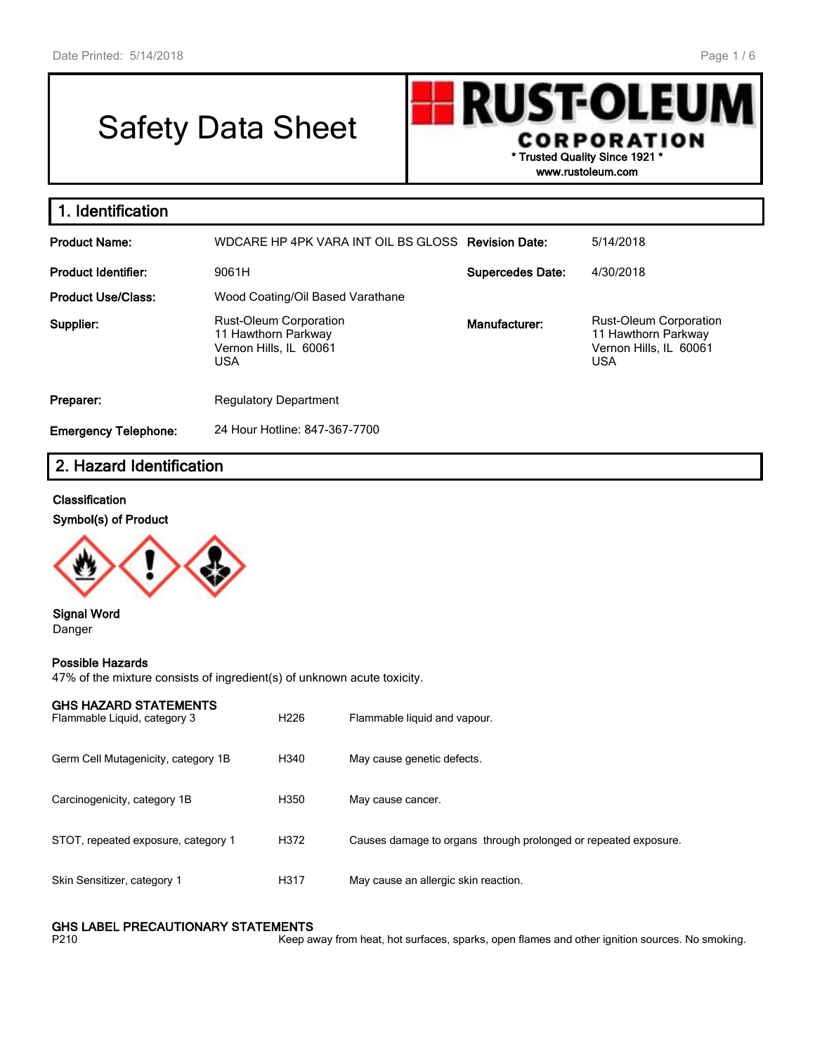# Safety Data Sheet

**RUST-OLEU CORPORATION \* Trusted Quality Since 1921 \***

**www.rustoleum.com**

| 1. Identification                                                                                         |                                                    |                         |                                                                                              |
|-----------------------------------------------------------------------------------------------------------|----------------------------------------------------|-------------------------|----------------------------------------------------------------------------------------------|
| <b>Product Name:</b>                                                                                      | WDCARE HP 4PK VARA INT OIL BS GLOSS Revision Date: |                         | 5/14/2018                                                                                    |
| Product Identifier:                                                                                       | 9061H                                              | <b>Supercedes Date:</b> | 4/30/2018                                                                                    |
| <b>Product Use/Class:</b>                                                                                 | Wood Coating/Oil Based Varathane                   |                         |                                                                                              |
| <b>Rust-Oleum Corporation</b><br>Supplier:<br>11 Hawthorn Parkway<br>Vernon Hills, IL 60061<br><b>USA</b> |                                                    | Manufacturer:           | <b>Rust-Oleum Corporation</b><br>11 Hawthorn Parkway<br>Vernon Hills, IL 60061<br><b>USA</b> |
| Preparer:                                                                                                 | <b>Regulatory Department</b>                       |                         |                                                                                              |
| <b>Emergency Telephone:</b>                                                                               | 24 Hour Hotline: 847-367-7700                      |                         |                                                                                              |

## **2. Hazard Identification**

#### **Classification**

**Symbol(s) of Product**



**Signal Word** Danger

#### **Possible Hazards**

47% of the mixture consists of ingredient(s) of unknown acute toxicity.

| GHS HAZARD STATEMENTS |  |
|-----------------------|--|
|                       |  |

| Flammable Liquid, category 3        | H <sub>226</sub> | Flammable liquid and vapour.                                    |
|-------------------------------------|------------------|-----------------------------------------------------------------|
| Germ Cell Mutagenicity, category 1B | H340             | May cause genetic defects.                                      |
| Carcinogenicity, category 1B        | H350             | May cause cancer.                                               |
| STOT, repeated exposure, category 1 | H372             | Causes damage to organs through prolonged or repeated exposure. |
| Skin Sensitizer, category 1         | H317             | May cause an allergic skin reaction.                            |

## **GHS LABEL PRECAUTIONARY STATEMENTS**<br>P210 Keep av

Keep away from heat, hot surfaces, sparks, open flames and other ignition sources. No smoking.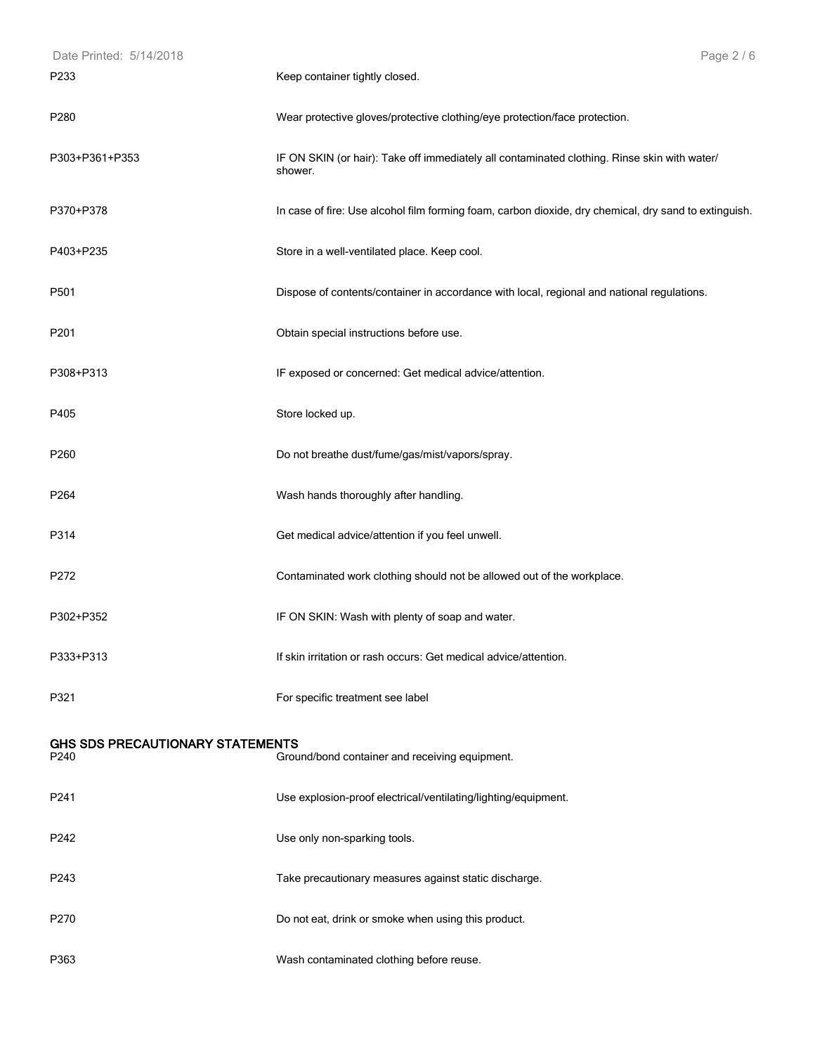| Date Printed: 5/14/2018                  | Page 2 / 6                                                                                              |
|------------------------------------------|---------------------------------------------------------------------------------------------------------|
| P233                                     | Keep container tightly closed.                                                                          |
| P <sub>280</sub>                         | Wear protective gloves/protective clothing/eye protection/face protection.                              |
| P303+P361+P353                           | IF ON SKIN (or hair): Take off immediately all contaminated clothing. Rinse skin with water/<br>shower. |
| P370+P378                                | In case of fire: Use alcohol film forming foam, carbon dioxide, dry chemical, dry sand to extinguish.   |
| P403+P235                                | Store in a well-ventilated place. Keep cool.                                                            |
| P501                                     | Dispose of contents/container in accordance with local, regional and national regulations.              |
| P201                                     | Obtain special instructions before use.                                                                 |
| P308+P313                                | IF exposed or concerned: Get medical advice/attention.                                                  |
| P405                                     | Store locked up.                                                                                        |
| P260                                     | Do not breathe dust/fume/gas/mist/vapors/spray.                                                         |
| P264                                     | Wash hands thoroughly after handling.                                                                   |
| P314                                     | Get medical advice/attention if you feel unwell.                                                        |
| P272                                     | Contaminated work clothing should not be allowed out of the workplace.                                  |
| P302+P352                                | IF ON SKIN: Wash with plenty of soap and water.                                                         |
| P333+P313                                | If skin irritation or rash occurs: Get medical advice/attention.                                        |
| P321                                     | For specific treatment see label                                                                        |
| GHS SDS PRECAUTIONARY STATEMENTS<br>P240 | Ground/bond container and receiving equipment.                                                          |
| P241                                     | Use explosion-proof electrical/ventilating/lighting/equipment.                                          |
| P242                                     | Use only non-sparking tools.                                                                            |
| P243                                     | Take precautionary measures against static discharge.                                                   |
| P270                                     | Do not eat, drink or smoke when using this product.                                                     |
| P363                                     | Wash contaminated clothing before reuse.                                                                |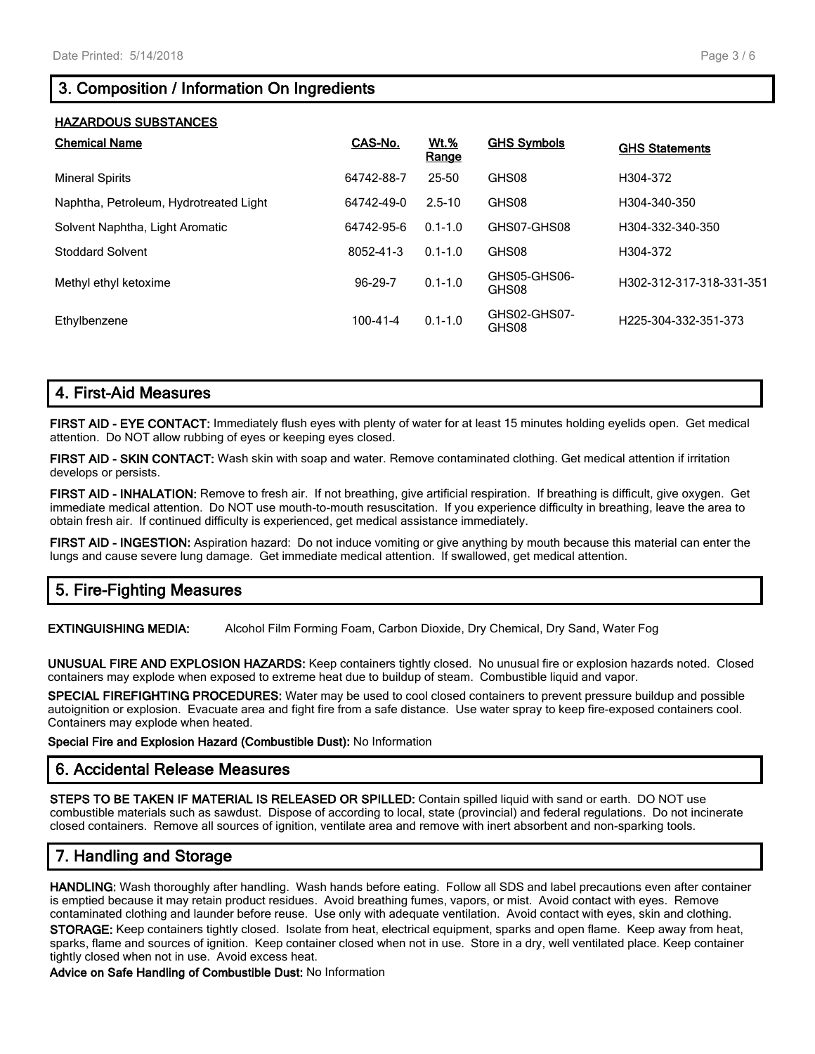## **3. Composition / Information On Ingredients**

#### **HAZARDOUS SUBSTANCES**

| <b>Chemical Name</b>                   | CAS-No.        | <u>Wt.%</u><br>Range | <b>GHS Symbols</b>    | <b>GHS Statements</b>    |
|----------------------------------------|----------------|----------------------|-----------------------|--------------------------|
| <b>Mineral Spirits</b>                 | 64742-88-7     | 25-50                | GHS08                 | H304-372                 |
| Naphtha, Petroleum, Hydrotreated Light | 64742-49-0     | $2.5 - 10$           | GHS08                 | H304-340-350             |
| Solvent Naphtha, Light Aromatic        | 64742-95-6     | $0.1 - 1.0$          | GHS07-GHS08           | H304-332-340-350         |
| <b>Stoddard Solvent</b>                | 8052-41-3      | $0.1 - 1.0$          | GHS08                 | H304-372                 |
| Methyl ethyl ketoxime                  | 96-29-7        | $0.1 - 1.0$          | GHS05-GHS06-<br>GHS08 | H302-312-317-318-331-351 |
| Ethylbenzene                           | $100 - 41 - 4$ | $0.1 - 1.0$          | GHS02-GHS07-<br>GHS08 | H225-304-332-351-373     |

## **4. First-Aid Measures**

**FIRST AID - EYE CONTACT:** Immediately flush eyes with plenty of water for at least 15 minutes holding eyelids open. Get medical attention. Do NOT allow rubbing of eyes or keeping eyes closed.

**FIRST AID - SKIN CONTACT:** Wash skin with soap and water. Remove contaminated clothing. Get medical attention if irritation develops or persists.

**FIRST AID - INHALATION:** Remove to fresh air. If not breathing, give artificial respiration. If breathing is difficult, give oxygen. Get immediate medical attention. Do NOT use mouth-to-mouth resuscitation. If you experience difficulty in breathing, leave the area to obtain fresh air. If continued difficulty is experienced, get medical assistance immediately.

**FIRST AID - INGESTION:** Aspiration hazard: Do not induce vomiting or give anything by mouth because this material can enter the lungs and cause severe lung damage. Get immediate medical attention. If swallowed, get medical attention.

## **5. Fire-Fighting Measures**

**EXTINGUISHING MEDIA:** Alcohol Film Forming Foam, Carbon Dioxide, Dry Chemical, Dry Sand, Water Fog

**UNUSUAL FIRE AND EXPLOSION HAZARDS:** Keep containers tightly closed. No unusual fire or explosion hazards noted. Closed containers may explode when exposed to extreme heat due to buildup of steam. Combustible liquid and vapor.

**SPECIAL FIREFIGHTING PROCEDURES:** Water may be used to cool closed containers to prevent pressure buildup and possible autoignition or explosion. Evacuate area and fight fire from a safe distance. Use water spray to keep fire-exposed containers cool. Containers may explode when heated.

**Special Fire and Explosion Hazard (Combustible Dust):** No Information

## **6. Accidental Release Measures**

**STEPS TO BE TAKEN IF MATERIAL IS RELEASED OR SPILLED:** Contain spilled liquid with sand or earth. DO NOT use combustible materials such as sawdust. Dispose of according to local, state (provincial) and federal regulations. Do not incinerate closed containers. Remove all sources of ignition, ventilate area and remove with inert absorbent and non-sparking tools.

## **7. Handling and Storage**

**HANDLING:** Wash thoroughly after handling. Wash hands before eating. Follow all SDS and label precautions even after container is emptied because it may retain product residues. Avoid breathing fumes, vapors, or mist. Avoid contact with eyes. Remove contaminated clothing and launder before reuse. Use only with adequate ventilation. Avoid contact with eyes, skin and clothing.

**STORAGE:** Keep containers tightly closed. Isolate from heat, electrical equipment, sparks and open flame. Keep away from heat, sparks, flame and sources of ignition. Keep container closed when not in use. Store in a dry, well ventilated place. Keep container tightly closed when not in use. Avoid excess heat.

**Advice on Safe Handling of Combustible Dust:** No Information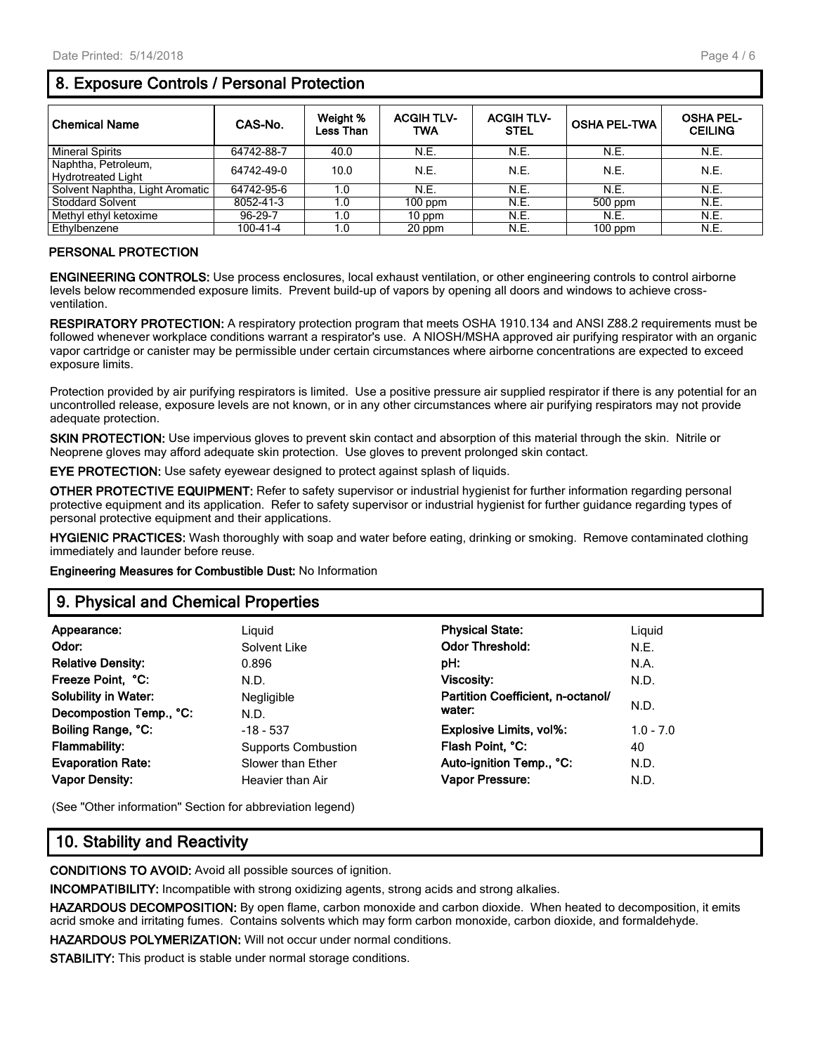#### Page 4 / 6

## **8. Exposure Controls / Personal Protection**

| <b>Chemical Name</b>            | CAS-No.        | Weight %<br>Less Than | <b>ACGIH TLV-</b><br><b>TWA</b> | <b>ACGIH TLV-</b><br><b>STEL</b> | <b>OSHA PEL-TWA</b> | <b>OSHA PEL-</b><br><b>CEILING</b> |
|---------------------------------|----------------|-----------------------|---------------------------------|----------------------------------|---------------------|------------------------------------|
| <b>Mineral Spirits</b>          | 64742-88-7     | 40.0                  | N.E.                            | N.E.                             | N.E.                | N.E.                               |
| Naphtha, Petroleum,             | 64742-49-0     | 10.0                  | N.E.                            | N.E.                             | N.E.                | N.E.                               |
| Hydrotreated Light              |                |                       |                                 |                                  |                     |                                    |
| Solvent Naphtha, Light Aromatic | 64742-95-6     | 1.0                   | N.E.                            | N.E.                             | N.E.                | N.E.                               |
| <b>Stoddard Solvent</b>         | 8052-41-3      | 1.0                   | $100$ ppm                       | N.E.                             | 500 ppm             | N.E.                               |
| Methyl ethyl ketoxime           | 96-29-7        | 1.0                   | 10 ppm                          | N.E.                             | N.E.                | N.E.                               |
| Ethylbenzene                    | $100 - 41 - 4$ | 1.0                   | 20 ppm                          | N.E.                             | $100$ ppm           | N.E.                               |

#### **PERSONAL PROTECTION**

**ENGINEERING CONTROLS:** Use process enclosures, local exhaust ventilation, or other engineering controls to control airborne levels below recommended exposure limits. Prevent build-up of vapors by opening all doors and windows to achieve crossventilation.

**RESPIRATORY PROTECTION:** A respiratory protection program that meets OSHA 1910.134 and ANSI Z88.2 requirements must be followed whenever workplace conditions warrant a respirator's use. A NIOSH/MSHA approved air purifying respirator with an organic vapor cartridge or canister may be permissible under certain circumstances where airborne concentrations are expected to exceed exposure limits.

Protection provided by air purifying respirators is limited. Use a positive pressure air supplied respirator if there is any potential for an uncontrolled release, exposure levels are not known, or in any other circumstances where air purifying respirators may not provide adequate protection.

**SKIN PROTECTION:** Use impervious gloves to prevent skin contact and absorption of this material through the skin. Nitrile or Neoprene gloves may afford adequate skin protection. Use gloves to prevent prolonged skin contact.

**EYE PROTECTION:** Use safety eyewear designed to protect against splash of liquids.

**OTHER PROTECTIVE EQUIPMENT:** Refer to safety supervisor or industrial hygienist for further information regarding personal protective equipment and its application. Refer to safety supervisor or industrial hygienist for further guidance regarding types of personal protective equipment and their applications.

**HYGIENIC PRACTICES:** Wash thoroughly with soap and water before eating, drinking or smoking. Remove contaminated clothing immediately and launder before reuse.

**Engineering Measures for Combustible Dust:** No Information

## **9. Physical and Chemical Properties**

| Appearance:                 | Liguid                     | <b>Physical State:</b>            | Liquid      |
|-----------------------------|----------------------------|-----------------------------------|-------------|
| Odor:                       | Solvent Like               | <b>Odor Threshold:</b>            | N.E.        |
| <b>Relative Density:</b>    | 0.896                      | pH:                               | N.A.        |
| Freeze Point, °C:           | N.D.                       | <b>Viscosity:</b>                 | N.D.        |
| <b>Solubility in Water:</b> | Negligible                 | Partition Coefficient, n-octanol/ |             |
| Decompostion Temp., °C:     | N.D.                       | water:                            | N.D.        |
| Boiling Range, °C:          | $-18 - 537$                | <b>Explosive Limits, vol%:</b>    | $1.0 - 7.0$ |
| <b>Flammability:</b>        | <b>Supports Combustion</b> | Flash Point, °C:                  | 40          |
| <b>Evaporation Rate:</b>    | Slower than Ether          | Auto-ignition Temp., °C:          | N.D.        |
| <b>Vapor Density:</b>       | Heavier than Air           | Vapor Pressure:                   | N.D.        |
|                             |                            |                                   |             |

(See "Other information" Section for abbreviation legend)

#### **10. Stability and Reactivity**

**CONDITIONS TO AVOID:** Avoid all possible sources of ignition.

**INCOMPATIBILITY:** Incompatible with strong oxidizing agents, strong acids and strong alkalies.

**HAZARDOUS DECOMPOSITION:** By open flame, carbon monoxide and carbon dioxide. When heated to decomposition, it emits acrid smoke and irritating fumes. Contains solvents which may form carbon monoxide, carbon dioxide, and formaldehyde.

**HAZARDOUS POLYMERIZATION:** Will not occur under normal conditions.

**STABILITY:** This product is stable under normal storage conditions.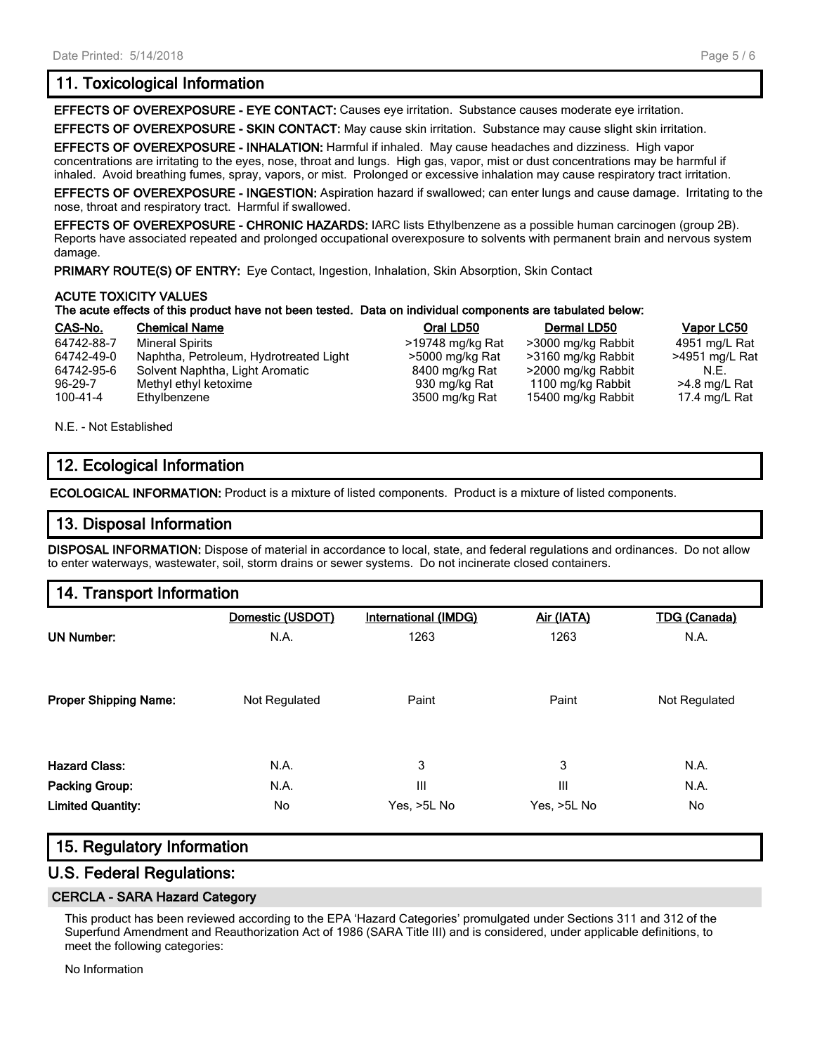## **11. Toxicological Information**

**EFFECTS OF OVEREXPOSURE - EYE CONTACT:** Causes eye irritation. Substance causes moderate eye irritation.

**EFFECTS OF OVEREXPOSURE - SKIN CONTACT:** May cause skin irritation. Substance may cause slight skin irritation.

**EFFECTS OF OVEREXPOSURE - INHALATION:** Harmful if inhaled. May cause headaches and dizziness. High vapor concentrations are irritating to the eyes, nose, throat and lungs. High gas, vapor, mist or dust concentrations may be harmful if inhaled. Avoid breathing fumes, spray, vapors, or mist. Prolonged or excessive inhalation may cause respiratory tract irritation.

**EFFECTS OF OVEREXPOSURE - INGESTION:** Aspiration hazard if swallowed; can enter lungs and cause damage. Irritating to the nose, throat and respiratory tract. Harmful if swallowed.

**EFFECTS OF OVEREXPOSURE - CHRONIC HAZARDS:** IARC lists Ethylbenzene as a possible human carcinogen (group 2B). Reports have associated repeated and prolonged occupational overexposure to solvents with permanent brain and nervous system damage.

**PRIMARY ROUTE(S) OF ENTRY:** Eye Contact, Ingestion, Inhalation, Skin Absorption, Skin Contact

#### **ACUTE TOXICITY VALUES**

#### **The acute effects of this product have not been tested. Data on individual components are tabulated below:**

| CAS-No.        | <b>Chemical Name</b>                   | Oral LD50        | Dermal LD50        | Vapor LC50     |
|----------------|----------------------------------------|------------------|--------------------|----------------|
| 64742-88-7     | <b>Mineral Spirits</b>                 | >19748 mg/kg Rat | >3000 mg/kg Rabbit | 4951 mg/L Rat  |
| 64742-49-0     | Naphtha, Petroleum, Hydrotreated Light | >5000 mg/kg Rat  | >3160 mg/kg Rabbit | >4951 mg/L Rat |
| 64742-95-6     | Solvent Naphtha, Light Aromatic        | 8400 mg/kg Rat   | >2000 mg/kg Rabbit | N.E.           |
| 96-29-7        | Methyl ethyl ketoxime                  | 930 mg/kg Rat    | 1100 mg/kg Rabbit  | >4.8 mg/L Rat  |
| $100 - 41 - 4$ | Ethylbenzene                           | 3500 mg/kg Rat   | 15400 mg/kg Rabbit | 17.4 mg/L Rat  |
|                |                                        |                  |                    |                |

N.E. - Not Established

## **12. Ecological Information**

**ECOLOGICAL INFORMATION:** Product is a mixture of listed components. Product is a mixture of listed components.

### **13. Disposal Information**

**DISPOSAL INFORMATION:** Dispose of material in accordance to local, state, and federal regulations and ordinances. Do not allow to enter waterways, wastewater, soil, storm drains or sewer systems. Do not incinerate closed containers.

## **14. Transport Information**

|                              | Domestic (USDOT) | <b>International (IMDG)</b> | Air (IATA)  | <b>TDG (Canada)</b> |
|------------------------------|------------------|-----------------------------|-------------|---------------------|
| <b>UN Number:</b>            | N.A.             | 1263                        | 1263        | N.A.                |
| <b>Proper Shipping Name:</b> | Not Regulated    | Paint                       | Paint       | Not Regulated       |
|                              |                  |                             |             |                     |
| <b>Hazard Class:</b>         | N.A.             | 3                           | 3           | N.A.                |
| Packing Group:               | N.A.             | III                         | Ш           | N.A.                |
| <b>Limited Quantity:</b>     | No.              | Yes, >5L No                 | Yes, >5L No | No.                 |

## **15. Regulatory Information**

## **U.S. Federal Regulations:**

#### **CERCLA - SARA Hazard Category**

This product has been reviewed according to the EPA 'Hazard Categories' promulgated under Sections 311 and 312 of the Superfund Amendment and Reauthorization Act of 1986 (SARA Title III) and is considered, under applicable definitions, to meet the following categories:

No Information